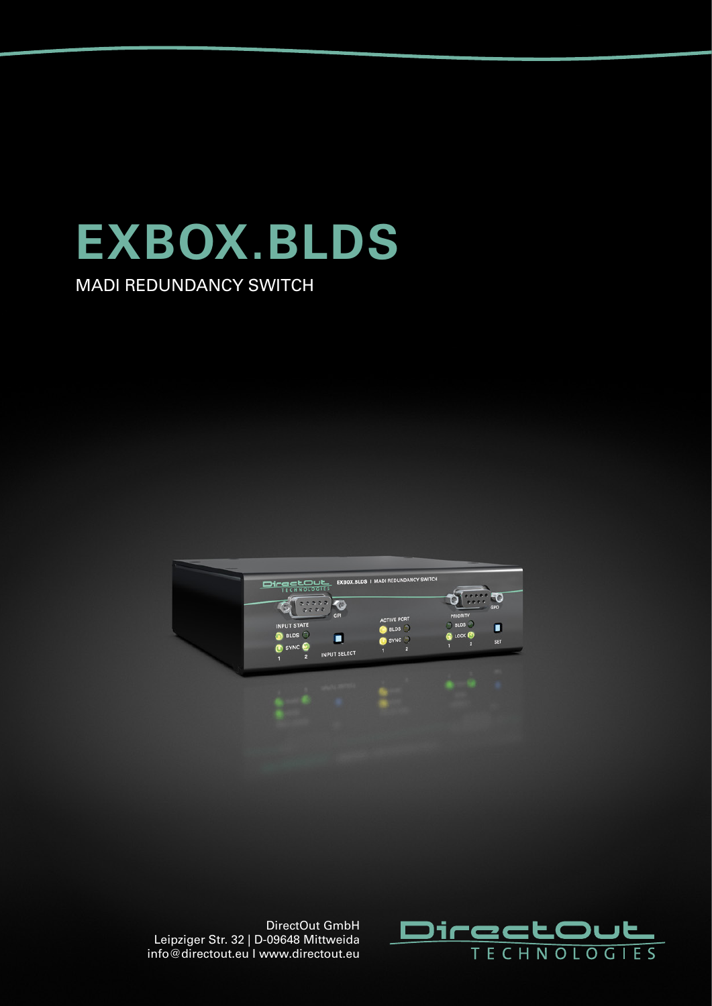

MADI REDUNDANCY SWITCH





DirectOut GmbH Leipziger Str. 32 | D-09648 Mittweida info@directout.eu I www.directout.eu